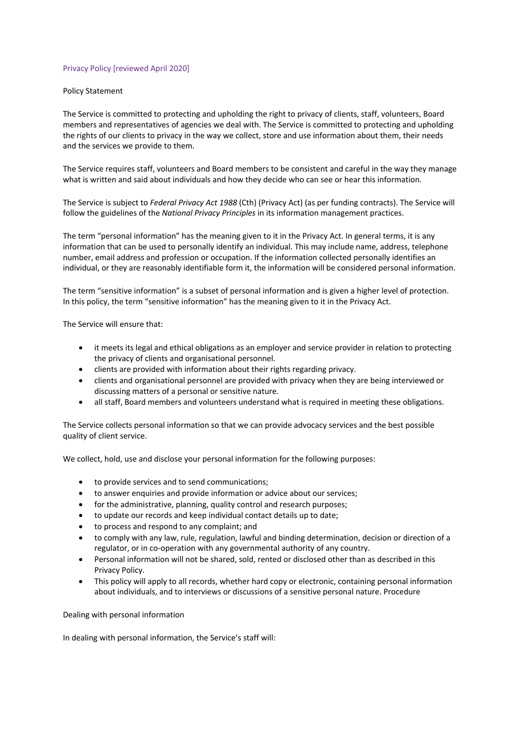## Privacy Policy [reviewed April 2020]

## Policy Statement

The Service is committed to protecting and upholding the right to privacy of clients, staff, volunteers, Board members and representatives of agencies we deal with. The Service is committed to protecting and upholding the rights of our clients to privacy in the way we collect, store and use information about them, their needs and the services we provide to them.

The Service requires staff, volunteers and Board members to be consistent and careful in the way they manage what is written and said about individuals and how they decide who can see or hear this information.

The Service is subject to *Federal Privacy Act 1988* (Cth) (Privacy Act) (as per funding contracts). The Service will follow the guidelines of the *National Privacy Principles* in its information management practices.

The term "personal information" has the meaning given to it in the Privacy Act. In general terms, it is any information that can be used to personally identify an individual. This may include name, address, telephone number, email address and profession or occupation. If the information collected personally identifies an individual, or they are reasonably identifiable form it, the information will be considered personal information.

The term "sensitive information" is a subset of personal information and is given a higher level of protection. In this policy, the term "sensitive information" has the meaning given to it in the Privacy Act.

The Service will ensure that:

- it meets its legal and ethical obligations as an employer and service provider in relation to protecting the privacy of clients and organisational personnel.
- clients are provided with information about their rights regarding privacy.
- clients and organisational personnel are provided with privacy when they are being interviewed or discussing matters of a personal or sensitive nature.
- all staff, Board members and volunteers understand what is required in meeting these obligations.

The Service collects personal information so that we can provide advocacy services and the best possible quality of client service.

We collect, hold, use and disclose your personal information for the following purposes:

- to provide services and to send communications;
- to answer enquiries and provide information or advice about our services;
- for the administrative, planning, quality control and research purposes;
- to update our records and keep individual contact details up to date;
- to process and respond to any complaint; and
- to comply with any law, rule, regulation, lawful and binding determination, decision or direction of a regulator, or in co-operation with any governmental authority of any country.
- Personal information will not be shared, sold, rented or disclosed other than as described in this Privacy Policy.
- This policy will apply to all records, whether hard copy or electronic, containing personal information about individuals, and to interviews or discussions of a sensitive personal nature. Procedure

Dealing with personal information

In dealing with personal information, the Service's staff will: